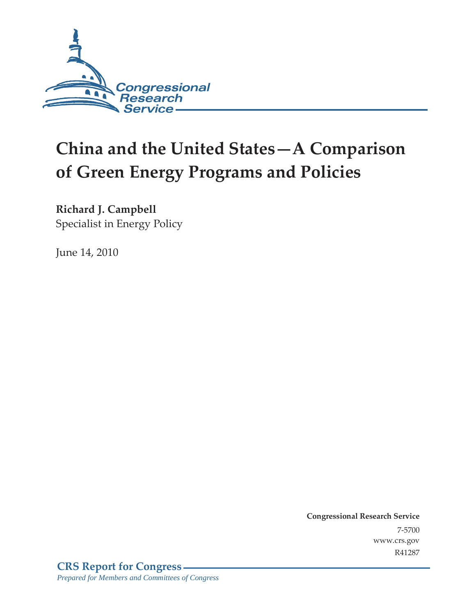

# **China and the United States—A Comparison of Green Energy Programs and Policies**

**Richard J. Campbell** 

Specialist in Energy Policy

June 14, 2010

**Congressional Research Service** 7-5700 www.crs.gov R41287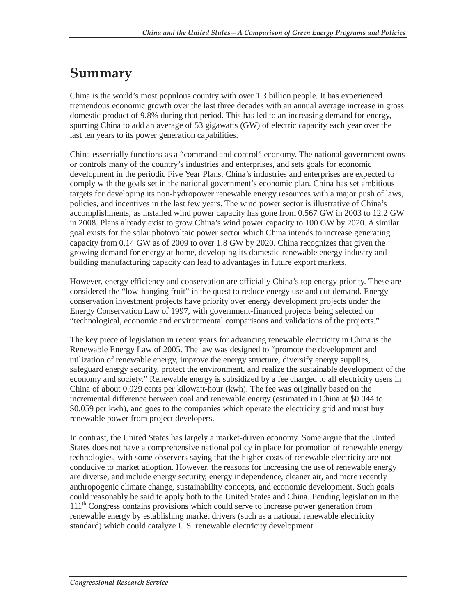## **Summary**

China is the world's most populous country with over 1.3 billion people. It has experienced tremendous economic growth over the last three decades with an annual average increase in gross domestic product of 9.8% during that period. This has led to an increasing demand for energy, spurring China to add an average of 53 gigawatts (GW) of electric capacity each year over the last ten years to its power generation capabilities.

China essentially functions as a "command and control" economy. The national government owns or controls many of the country's industries and enterprises, and sets goals for economic development in the periodic Five Year Plans. China's industries and enterprises are expected to comply with the goals set in the national government's economic plan. China has set ambitious targets for developing its non-hydropower renewable energy resources with a major push of laws, policies, and incentives in the last few years. The wind power sector is illustrative of China's accomplishments, as installed wind power capacity has gone from 0.567 GW in 2003 to 12.2 GW in 2008. Plans already exist to grow China's wind power capacity to 100 GW by 2020. A similar goal exists for the solar photovoltaic power sector which China intends to increase generating capacity from 0.14 GW as of 2009 to over 1.8 GW by 2020. China recognizes that given the growing demand for energy at home, developing its domestic renewable energy industry and building manufacturing capacity can lead to advantages in future export markets.

However, energy efficiency and conservation are officially China's top energy priority. These are considered the "low-hanging fruit" in the quest to reduce energy use and cut demand. Energy conservation investment projects have priority over energy development projects under the Energy Conservation Law of 1997, with government-financed projects being selected on "technological, economic and environmental comparisons and validations of the projects."

The key piece of legislation in recent years for advancing renewable electricity in China is the Renewable Energy Law of 2005. The law was designed to "promote the development and utilization of renewable energy, improve the energy structure, diversify energy supplies, safeguard energy security, protect the environment, and realize the sustainable development of the economy and society." Renewable energy is subsidized by a fee charged to all electricity users in China of about 0.029 cents per kilowatt-hour (kwh). The fee was originally based on the incremental difference between coal and renewable energy (estimated in China at \$0.044 to \$0.059 per kwh), and goes to the companies which operate the electricity grid and must buy renewable power from project developers.

In contrast, the United States has largely a market-driven economy. Some argue that the United States does not have a comprehensive national policy in place for promotion of renewable energy technologies, with some observers saying that the higher costs of renewable electricity are not conducive to market adoption. However, the reasons for increasing the use of renewable energy are diverse, and include energy security, energy independence, cleaner air, and more recently anthropogenic climate change, sustainability concepts, and economic development. Such goals could reasonably be said to apply both to the United States and China. Pending legislation in the 111<sup>th</sup> Congress contains provisions which could serve to increase power generation from renewable energy by establishing market drivers (such as a national renewable electricity standard) which could catalyze U.S. renewable electricity development.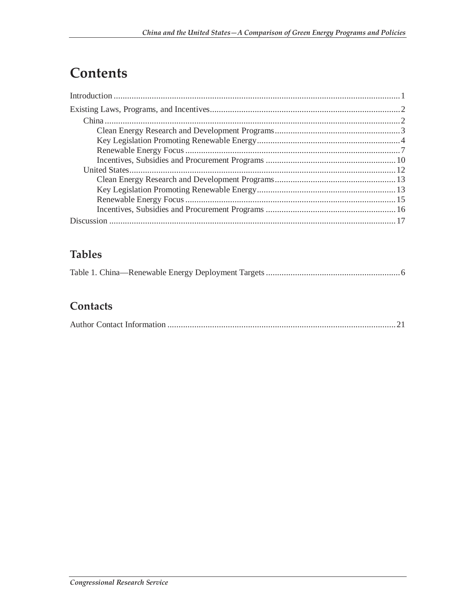## **Contents**

### **Tables**

### Contacts

|--|--|--|--|--|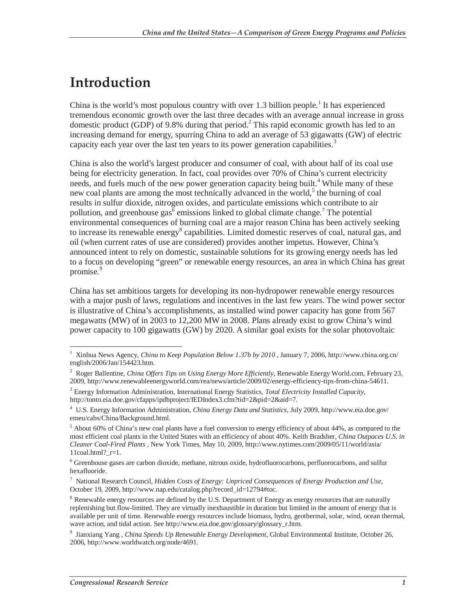## **Introduction**

China is the world's most populous country with over  $1.3$  billion people.<sup>1</sup> It has experienced tremendous economic growth over the last three decades with an average annual increase in gross domestic product (GDP) of 9.8% during that period.<sup>2</sup> This rapid economic growth has led to an increasing demand for energy, spurring China to add an average of 53 gigawatts (GW) of electric capacity each year over the last ten years to its power generation capabilities.<sup>3</sup>

China is also the world's largest producer and consumer of coal, with about half of its coal use being for electricity generation. In fact, coal provides over 70% of China's current electricity needs, and fuels much of the new power generation capacity being built.<sup>4</sup> While many of these new coal plants are among the most technically advanced in the world,<sup>5</sup> the burning of coal results in sulfur dioxide, nitrogen oxides, and particulate emissions which contribute to air pollution, and greenhouse  $\text{gas}^{\bar{6}}$  emissions linked to global climate change.<sup>7</sup> The potential environmental consequences of burning coal are a major reason China has been actively seeking to increase its renewable energy<sup>8</sup> capabilities. Limited domestic reserves of coal, natural gas, and oil (when current rates of use are considered) provides another impetus. However, China's announced intent to rely on domestic, sustainable solutions for its growing energy needs has led to a focus on developing "green" or renewable energy resources, an area in which China has great promise.<sup>9</sup>

China has set ambitious targets for developing its non-hydropower renewable energy resources with a major push of laws, regulations and incentives in the last few years. The wind power sector is illustrative of China's accomplishments, as installed wind power capacity has gone from 567 megawatts (MW) of in 2003 to 12,200 MW in 2008. Plans already exist to grow China's wind power capacity to 100 gigawatts (GW) by 2020. A similar goal exists for the solar photovoltaic

 1 Xinhua News Agency, *China to Keep Population Below 1.37b by 2010* , January 7, 2006, http://www.china.org.cn/ english/2006/Jan/154423.htm.

<sup>2</sup> Roger Ballentine, *China Offers Tips on Using Energy More Efficiently*, Renewable Energy World.com, February 23, 2009, http://www.renewableenergyworld.com/rea/news/article/2009/02/energy-efficiency-tips-from-china-54611.

<sup>3</sup> Energy Information Administration, International Energy Statistics, *Total Electricity Installed Capacity*, http://tonto.eia.doe.gov/cfapps/ipdbproject/IEDIndex3.cfm?tid=2&pid=2&aid=7.

<sup>4</sup> U.S. Energy Information Administration, *China Energy Data and Statistics*, July 2009, http://www.eia.doe.gov/ emeu/cabs/China/Background.html.

<sup>&</sup>lt;sup>5</sup> About 60% of China's new coal plants have a fuel conversion to energy efficiency of about 44%, as compared to the most efficient coal plants in the United States with an efficiency of about 40%. Keith Bradsher, *China Outpaces U.S. in Cleaner Coal-Fired Plants* , New York Times, May 10, 2009, http://www.nytimes.com/2009/05/11/world/asia/  $11$ coal.html? $r=1$ .

<sup>&</sup>lt;sup>6</sup> Greenhouse gases are carbon dioxide, methane, nitrous oxide, hydrofluorocarbons, perfluorocarbons, and sulfur hexafluoride.

<sup>7</sup> National Research Council, *Hidden Costs of Energy: Unpriced Consequences of Energy Production and Use*, October 19, 2009, http://www.nap.edu/catalog.php?record\_id=12794#toc.

<sup>&</sup>lt;sup>8</sup> Renewable energy resources are defined by the U.S. Department of Energy as energy resources that are naturally replenishing but flow-limited. They are virtually inexhaustible in duration but limited in the amount of energy that is available per unit of time. Renewable energy resources include biomass, hydro, geothermal, solar, wind, ocean thermal, wave action, and tidal action. See http://www.eia.doe.gov/glossary/glossary\_r.htm.

<sup>9</sup> Jianxiang Yang , *China Speeds Up Renewable Energy Development*, Global Environmental Institute, October 26, 2006, http://www.worldwatch.org/node/4691.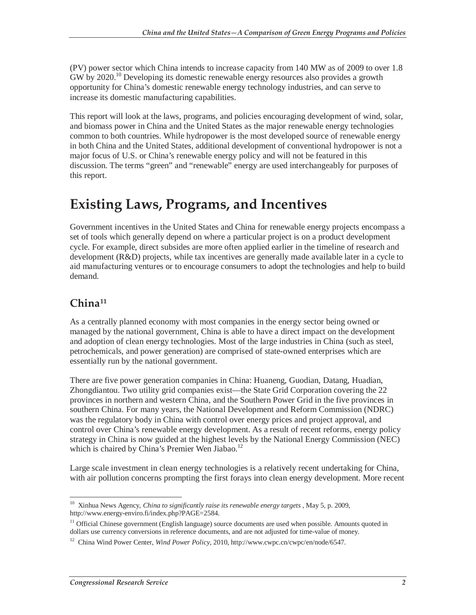(PV) power sector which China intends to increase capacity from 140 MW as of 2009 to over 1.8 GW by 2020.<sup>10</sup> Developing its domestic renewable energy resources also provides a growth opportunity for China's domestic renewable energy technology industries, and can serve to increase its domestic manufacturing capabilities.

This report will look at the laws, programs, and policies encouraging development of wind, solar, and biomass power in China and the United States as the major renewable energy technologies common to both countries. While hydropower is the most developed source of renewable energy in both China and the United States, additional development of conventional hydropower is not a major focus of U.S. or China's renewable energy policy and will not be featured in this discussion. The terms "green" and "renewable" energy are used interchangeably for purposes of this report.

## **Existing Laws, Programs, and Incentives**

Government incentives in the United States and China for renewable energy projects encompass a set of tools which generally depend on where a particular project is on a product development cycle. For example, direct subsides are more often applied earlier in the timeline of research and development (R&D) projects, while tax incentives are generally made available later in a cycle to aid manufacturing ventures or to encourage consumers to adopt the technologies and help to build demand.

### **China11**

As a centrally planned economy with most companies in the energy sector being owned or managed by the national government, China is able to have a direct impact on the development and adoption of clean energy technologies. Most of the large industries in China (such as steel, petrochemicals, and power generation) are comprised of state-owned enterprises which are essentially run by the national government.

There are five power generation companies in China: Huaneng, Guodian, Datang, Huadian, Zhongdiantou. Two utility grid companies exist—the State Grid Corporation covering the 22 provinces in northern and western China, and the Southern Power Grid in the five provinces in southern China. For many years, the National Development and Reform Commission (NDRC) was the regulatory body in China with control over energy prices and project approval, and control over China's renewable energy development. As a result of recent reforms, energy policy strategy in China is now guided at the highest levels by the National Energy Commission (NEC) which is chaired by China's Premier Wen Jiabao.<sup>12</sup>

Large scale investment in clean energy technologies is a relatively recent undertaking for China, with air pollution concerns prompting the first forays into clean energy development. More recent

<sup>-</sup><sup>10</sup> Xinhua News Agency, *China to significantly raise its renewable energy targets*, May 5, p. 2009, http://www.energy-enviro.fi/index.php?PAGE=2584.

<sup>&</sup>lt;sup>11</sup> Official Chinese government (English language) source documents are used when possible. Amounts quoted in dollars use currency conversions in reference documents, and are not adjusted for time-value of money.

<sup>12</sup> China Wind Power Center, *Wind Power Policy*, 2010, http://www.cwpc.cn/cwpc/en/node/6547.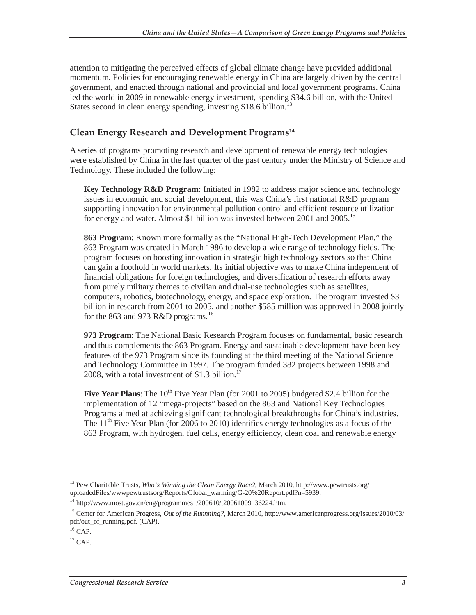attention to mitigating the perceived effects of global climate change have provided additional momentum. Policies for encouraging renewable energy in China are largely driven by the central government, and enacted through national and provincial and local government programs. China led the world in 2009 in renewable energy investment, spending \$34.6 billion, with the United States second in clean energy spending, investing \$18.6 billion.<sup>13</sup>

#### **Clean Energy Research and Development Programs14**

A series of programs promoting research and development of renewable energy technologies were established by China in the last quarter of the past century under the Ministry of Science and Technology. These included the following:

**Key Technology R&D Program:** Initiated in 1982 to address major science and technology issues in economic and social development, this was China's first national R&D program supporting innovation for environmental pollution control and efficient resource utilization for energy and water. Almost \$1 billion was invested between 2001 and  $2005$ <sup>15</sup>

**863 Program**: Known more formally as the "National High-Tech Development Plan," the 863 Program was created in March 1986 to develop a wide range of technology fields. The program focuses on boosting innovation in strategic high technology sectors so that China can gain a foothold in world markets. Its initial objective was to make China independent of financial obligations for foreign technologies, and diversification of research efforts away from purely military themes to civilian and dual-use technologies such as satellites, computers, robotics, biotechnology, energy, and space exploration. The program invested \$3 billion in research from 2001 to 2005, and another \$585 million was approved in 2008 jointly for the 863 and 973 R&D programs.<sup>16</sup>

**973 Program**: The National Basic Research Program focuses on fundamental, basic research and thus complements the 863 Program. Energy and sustainable development have been key features of the 973 Program since its founding at the third meeting of the National Science and Technology Committee in 1997. The program funded 382 projects between 1998 and 2008, with a total investment of \$1.3 billion. $^{17}$ 

**Five Year Plans**: The 10<sup>th</sup> Five Year Plan (for 2001 to 2005) budgeted \$2.4 billion for the implementation of 12 "mega-projects" based on the 863 and National Key Technologies Programs aimed at achieving significant technological breakthroughs for China's industries. The 11<sup>th</sup> Five Year Plan (for 2006 to 2010) identifies energy technologies as a focus of the 863 Program, with hydrogen, fuel cells, energy efficiency, clean coal and renewable energy

<sup>-</sup>13 Pew Charitable Trusts, *Who's Winning the Clean Energy Race?*, March 2010, http://www.pewtrusts.org/ uploadedFiles/wwwpewtrustsorg/Reports/Global\_warming/G-20%20Report.pdf?n=5939.

 $^{14}$ http://www.most.gov.cn/eng/programmes1/200610/t20061009\_36224.htm.

<sup>15</sup> Center for American Progress, *Out of the Runnning?*, March 2010, http://www.americanprogress.org/issues/2010/03/ pdf/out\_of\_running.pdf. (CAP).

 $16$  CAP.

 $17$  CAP.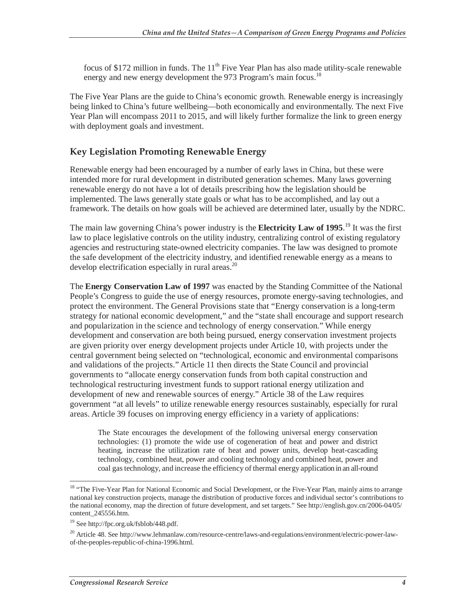focus of \$172 million in funds. The  $11<sup>th</sup>$  Five Year Plan has also made utility-scale renewable energy and new energy development the 973 Program's main focus.<sup>18</sup>

The Five Year Plans are the guide to China's economic growth. Renewable energy is increasingly being linked to China's future wellbeing—both economically and environmentally. The next Five Year Plan will encompass 2011 to 2015, and will likely further formalize the link to green energy with deployment goals and investment.

#### **Key Legislation Promoting Renewable Energy**

Renewable energy had been encouraged by a number of early laws in China, but these were intended more for rural development in distributed generation schemes. Many laws governing renewable energy do not have a lot of details prescribing how the legislation should be implemented. The laws generally state goals or what has to be accomplished, and lay out a framework. The details on how goals will be achieved are determined later, usually by the NDRC.

The main law governing China's power industry is the **Electricity Law of 1995**.<sup>19</sup> It was the first law to place legislative controls on the utility industry, centralizing control of existing regulatory agencies and restructuring state-owned electricity companies. The law was designed to promote the safe development of the electricity industry, and identified renewable energy as a means to develop electrification especially in rural areas.<sup>20</sup>

The **Energy Conservation Law of 1997** was enacted by the Standing Committee of the National People's Congress to guide the use of energy resources, promote energy-saving technologies, and protect the environment. The General Provisions state that "Energy conservation is a long-term strategy for national economic development," and the "state shall encourage and support research and popularization in the science and technology of energy conservation." While energy development and conservation are both being pursued, energy conservation investment projects are given priority over energy development projects under Article 10, with projects under the central government being selected on "technological, economic and environmental comparisons and validations of the projects." Article 11 then directs the State Council and provincial governments to "allocate energy conservation funds from both capital construction and technological restructuring investment funds to support rational energy utilization and development of new and renewable sources of energy." Article 38 of the Law requires government "at all levels" to utilize renewable energy resources sustainably, especially for rural areas. Article 39 focuses on improving energy efficiency in a variety of applications:

The State encourages the development of the following universal energy conservation technologies: (1) promote the wide use of cogeneration of heat and power and district heating, increase the utilization rate of heat and power units, develop heat-cascading technology, combined heat, power and cooling technology and combined heat, power and coal gas technology, and increase the efficiency of thermal energy application in an all-round

<sup>-</sup><sup>18</sup> "The Five-Year Plan for National Economic and Social Development, or the Five-Year Plan, mainly aims to arrange national key construction projects, manage the distribution of productive forces and individual sector's contributions to the national economy, map the direction of future development, and set targets." See http://english.gov.cn/2006-04/05/ content\_245556.htm.

<sup>19</sup> See http://fpc.org.uk/fsblob/448.pdf.

<sup>&</sup>lt;sup>20</sup> Article 48. See http://www.lehmanlaw.com/resource-centre/laws-and-regulations/environment/electric-power-lawof-the-peoples-republic-of-china-1996.html.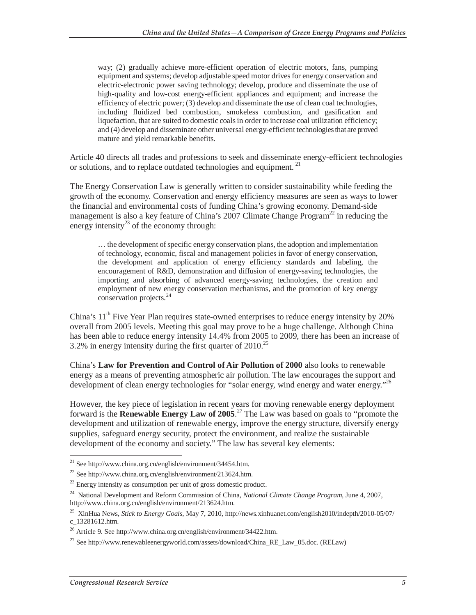way; (2) gradually achieve more-efficient operation of electric motors, fans, pumping equipment and systems; develop adjustable speed motor drives for energy conservation and electric-electronic power saving technology; develop, produce and disseminate the use of high-quality and low-cost energy-efficient appliances and equipment; and increase the efficiency of electric power; (3) develop and disseminate the use of clean coal technologies, including fluidized bed combustion, smokeless combustion, and gasification and liquefaction, that are suited to domestic coals in order to increase coal utilization efficiency; and (4) develop and disseminate other universal energy-efficient technologies that are proved mature and yield remarkable benefits.

Article 40 directs all trades and professions to seek and disseminate energy-efficient technologies or solutions, and to replace outdated technologies and equipment.<sup>21</sup>

The Energy Conservation Law is generally written to consider sustainability while feeding the growth of the economy. Conservation and energy efficiency measures are seen as ways to lower the financial and environmental costs of funding China's growing economy. Demand-side management is also a key feature of China's 2007 Climate Change  $Program<sup>22</sup>$  in reducing the energy intensity<sup>23</sup> of the economy through:

… the development of specific energy conservation plans, the adoption and implementation of technology, economic, fiscal and management policies in favor of energy conservation, the development and application of energy efficiency standards and labeling, the encouragement of R&D, demonstration and diffusion of energy-saving technologies, the importing and absorbing of advanced energy-saving technologies, the creation and employment of new energy conservation mechanisms, and the promotion of key energy conservation projects.<sup>24</sup>

China's  $11<sup>th</sup>$  Five Year Plan requires state-owned enterprises to reduce energy intensity by 20% overall from 2005 levels. Meeting this goal may prove to be a huge challenge. Although China has been able to reduce energy intensity 14.4% from 2005 to 2009, there has been an increase of 3.2% in energy intensity during the first quarter of  $2010^{25}$ 

China's **Law for Prevention and Control of Air Pollution of 2000** also looks to renewable energy as a means of preventing atmospheric air pollution. The law encourages the support and development of clean energy technologies for "solar energy, wind energy and water energy."<sup>26</sup>

However, the key piece of legislation in recent years for moving renewable energy deployment forward is the **Renewable Energy Law of 2005**. 27 The Law was based on goals to "promote the development and utilization of renewable energy, improve the energy structure, diversify energy supplies, safeguard energy security, protect the environment, and realize the sustainable development of the economy and society." The law has several key elements:

-

 $^{21}$  See http://www.china.org.cn/english/environment/34454.htm.

<sup>&</sup>lt;sup>22</sup> See http://www.china.org.cn/english/environment/213624.htm.

 $^{23}$  Energy intensity as consumption per unit of gross domestic product.

<sup>24</sup> National Development and Reform Commission of China, *National Climate Change Program*, June 4, 2007, http://www.china.org.cn/english/environment/213624.htm.

<sup>25</sup> XinHua News, *Stick to Energy Goals*, May 7, 2010, http://news.xinhuanet.com/english2010/indepth/2010-05/07/ c\_13281612.htm.

<sup>&</sup>lt;sup>26</sup> Article 9. See http://www.china.org.cn/english/environment/34422.htm.

<sup>&</sup>lt;sup>27</sup> See http://www.renewableenergyworld.com/assets/download/China\_RE\_Law\_05.doc. (RELaw)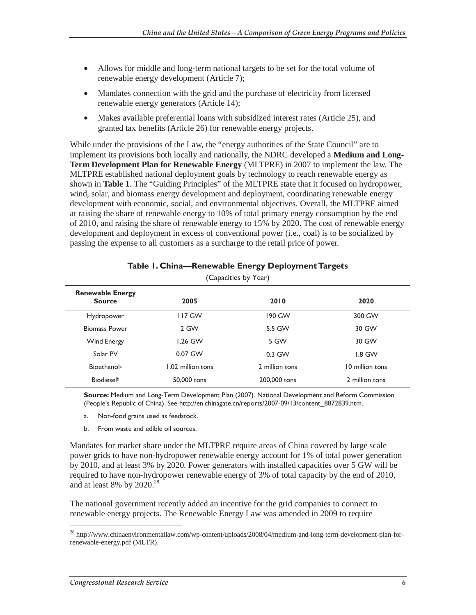- Allows for middle and long-term national targets to be set for the total volume of renewable energy development (Article 7);
- Mandates connection with the grid and the purchase of electricity from licensed renewable energy generators (Article 14);
- Makes available preferential loans with subsidized interest rates (Article 25), and granted tax benefits (Article 26) for renewable energy projects.

While under the provisions of the Law, the "energy authorities of the State Council" are to implement its provisions both locally and nationally, the NDRC developed a **Medium and Long-Term Development Plan for Renewable Energy** (MLTPRE) in 2007 to implement the law. The MLTPRE established national deployment goals by technology to reach renewable energy as shown in **Table 1**. The "Guiding Principles" of the MLTPRE state that it focused on hydropower, wind, solar, and biomass energy development and deployment, coordinating renewable energy development with economic, social, and environmental objectives. Overall, the MLTPRE aimed at raising the share of renewable energy to 10% of total primary energy consumption by the end of 2010, and raising the share of renewable energy to 15% by 2020. The cost of renewable energy development and deployment in excess of conventional power (i.e., coal) is to be socialized by passing the expense to all customers as a surcharge to the retail price of power.

| (Capacities by Year)                     |                   |                |                 |  |  |  |  |
|------------------------------------------|-------------------|----------------|-----------------|--|--|--|--|
| <b>Renewable Energy</b><br><b>Source</b> | 2005              | 2010           | 2020            |  |  |  |  |
| Hydropower                               | <b>117 GW</b>     | 190 GW         | 300 GW          |  |  |  |  |
| <b>Biomass Power</b>                     | 2 GW              | 5.5 GW         | 30 GW           |  |  |  |  |
| Wind Energy                              | 1.26 GW           | 5 GW           | 30 GW           |  |  |  |  |
| Solar PV                                 | 0.07 GW           | $0.3$ GW       | $1.8$ GW        |  |  |  |  |
| <b>Bioethanola</b>                       | 1.02 million tons | 2 million tons | 10 million tons |  |  |  |  |
| Biodieselb                               | 50,000 tons       | 200,000 tons   | 2 million tons  |  |  |  |  |

#### **Table 1. China—Renewable Energy Deployment Targets**

**Source:** Medium and Long-Term Development Plan (2007). National Development and Reform Commission (People's Republic of China). See http://en.chinagate.cn/reports/2007-09/13/content\_8872839.htm.

- a. Non-food grains used as feedstock.
- b. From waste and edible oil sources.

Mandates for market share under the MLTPRE require areas of China covered by large scale power grids to have non-hydropower renewable energy account for 1% of total power generation by 2010, and at least 3% by 2020. Power generators with installed capacities over 5 GW will be required to have non-hydropower renewable energy of 3% of total capacity by the end of 2010, and at least 8% by  $2020.<sup>28</sup>$ 

The national government recently added an incentive for the grid companies to connect to renewable energy projects. The Renewable Energy Law was amended in 2009 to require

-

<sup>&</sup>lt;sup>28</sup> http://www.chinaenvironmentallaw.com/wp-content/uploads/2008/04/medium-and-long-term-development-plan-forrenewable-energy.pdf (MLTR).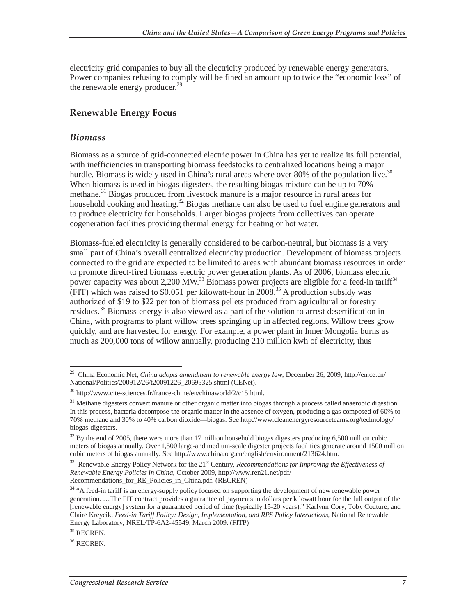electricity grid companies to buy all the electricity produced by renewable energy generators. Power companies refusing to comply will be fined an amount up to twice the "economic loss" of the renewable energy producer. $^{29}$ 

#### **Renewable Energy Focus**

#### *Biomass*

Biomass as a source of grid-connected electric power in China has yet to realize its full potential, with inefficiencies in transporting biomass feedstocks to centralized locations being a major hurdle. Biomass is widely used in China's rural areas where over 80% of the population live.<sup>30</sup> When biomass is used in biogas digesters, the resulting biogas mixture can be up to 70% methane.<sup>31</sup> Biogas produced from livestock manure is a major resource in rural areas for household cooking and heating.<sup>32</sup> Biogas methane can also be used to fuel engine generators and to produce electricity for households. Larger biogas projects from collectives can operate cogeneration facilities providing thermal energy for heating or hot water.

Biomass-fueled electricity is generally considered to be carbon-neutral, but biomass is a very small part of China's overall centralized electricity production. Development of biomass projects connected to the grid are expected to be limited to areas with abundant biomass resources in order to promote direct-fired biomass electric power generation plants. As of 2006, biomass electric power capacity was about 2,200 MW.<sup>33</sup> Biomass power projects are eligible for a feed-in tariff<sup>34</sup> (FIT) which was raised to \$0.051 per kilowatt-hour in  $2008$ <sup>35</sup> A production subsidy was authorized of \$19 to \$22 per ton of biomass pellets produced from agricultural or forestry residues.36 Biomass energy is also viewed as a part of the solution to arrest desertification in China, with programs to plant willow trees springing up in affected regions. Willow trees grow quickly, and are harvested for energy. For example, a power plant in Inner Mongolia burns as much as 200,000 tons of willow annually, producing 210 million kwh of electricity, thus

 $\overline{a}$ 29 China Economic Net, *China adopts amendment to renewable energy law*, December 26, 2009, http://en.ce.cn/ National/Politics/200912/26/t20091226\_20695325.shtml (CENet).

<sup>30</sup> http://www.cite-sciences.fr/france-chine/en/chinaworld/2/c15.html.

<sup>&</sup>lt;sup>31</sup> Methane digesters convert manure or other organic matter into biogas through a process called anaerobic digestion. In this process, bacteria decompose the organic matter in the absence of oxygen, producing a gas composed of 60% to 70% methane and 30% to 40% carbon dioxide—biogas. See http://www.cleanenergyresourceteams.org/technology/ biogas-digesters.

 $32$  By the end of 2005, there were more than 17 million household biogas digesters producing 6,500 million cubic meters of biogas annually. Over 1,500 large-and medium-scale digester projects facilities generate around 1500 million cubic meters of biogas annually. See http://www.china.org.cn/english/environment/213624.htm.

<sup>&</sup>lt;sup>33</sup> Renewable Energy Policy Network for the 21<sup>st</sup> Century, *Recommendations for Improving the Effectiveness of Renewable Energy Policies in China*, October 2009, http://www.ren21.net/pdf/ Recommendations\_for\_RE\_Policies\_in\_China.pdf. (RECREN)

<sup>&</sup>lt;sup>34</sup> "A feed-in tariff is an energy-supply policy focused on supporting the development of new renewable power generation. …The FIT contract provides a guarantee of payments in dollars per kilowatt hour for the full output of the [renewable energy] system for a guaranteed period of time (typically 15-20 years)." Karlynn Cory, Toby Couture, and Claire Kreycik, *Feed-in Tariff Policy: Design, Implementation, and RPS Policy Interactions*, National Renewable Energy Laboratory, NREL/TP-6A2-45549, March 2009. (FITP)

<sup>&</sup>lt;sup>35</sup> RECREN.

<sup>36</sup> RECREN.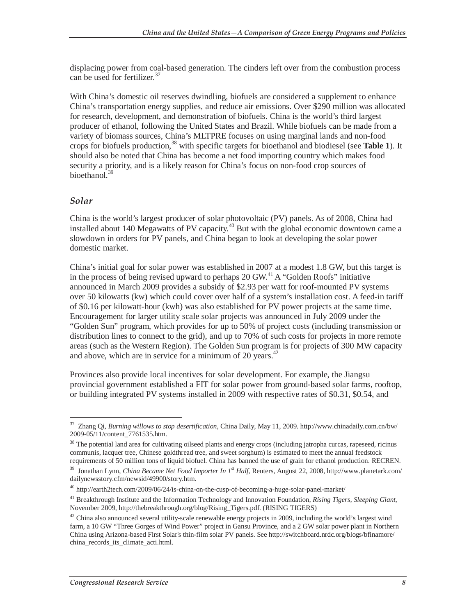displacing power from coal-based generation. The cinders left over from the combustion process can be used for fertilizer.<sup>37</sup>

With China's domestic oil reserves dwindling, biofuels are considered a supplement to enhance China's transportation energy supplies, and reduce air emissions. Over \$290 million was allocated for research, development, and demonstration of biofuels. China is the world's third largest producer of ethanol, following the United States and Brazil. While biofuels can be made from a variety of biomass sources, China's MLTPRE focuses on using marginal lands and non-food crops for biofuels production,38 with specific targets for bioethanol and biodiesel (see **Table 1**). It should also be noted that China has become a net food importing country which makes food security a priority, and is a likely reason for China's focus on non-food crop sources of bioethanol.<sup>39</sup>

#### *Solar*

China is the world's largest producer of solar photovoltaic (PV) panels. As of 2008, China had installed about 140 Megawatts of PV capacity.<sup>40</sup> But with the global economic downtown came a slowdown in orders for PV panels, and China began to look at developing the solar power domestic market.

China's initial goal for solar power was established in 2007 at a modest 1.8 GW, but this target is in the process of being revised upward to perhaps  $20$  GW.<sup>41</sup> A "Golden Roofs" initiative announced in March 2009 provides a subsidy of \$2.93 per watt for roof-mounted PV systems over 50 kilowatts (kw) which could cover over half of a system's installation cost. A feed-in tariff of \$0.16 per kilowatt-hour (kwh) was also established for PV power projects at the same time. Encouragement for larger utility scale solar projects was announced in July 2009 under the "Golden Sun" program, which provides for up to 50% of project costs (including transmission or distribution lines to connect to the grid), and up to 70% of such costs for projects in more remote areas (such as the Western Region). The Golden Sun program is for projects of 300 MW capacity and above, which are in service for a minimum of 20 years. $42$ 

Provinces also provide local incentives for solar development. For example, the Jiangsu provincial government established a FIT for solar power from ground-based solar farms, rooftop, or building integrated PV systems installed in 2009 with respective rates of \$0.31, \$0.54, and

<sup>-</sup>37 Zhang Qi, *Burning willows to stop desertification*, China Daily, May 11, 2009. http://www.chinadaily.com.cn/bw/ 2009-05/11/content\_7761535.htm.

<sup>&</sup>lt;sup>38</sup> The potential land area for cultivating oilseed plants and energy crops (including jatropha curcas, rapeseed, ricinus communis, lacquer tree, Chinese goldthread tree, and sweet sorghum) is estimated to meet the annual feedstock requirements of 50 million tons of liquid biofuel. China has banned the use of grain for ethanol production. RECREN.

<sup>39</sup> Jonathan Lynn, *China Became Net Food Importer In 1st Half*, Reuters, August 22, 2008, http://www.planetark.com/ dailynewsstory.cfm/newsid/49900/story.htm.

<sup>40</sup> http://earth2tech.com/2009/06/24/is-china-on-the-cusp-of-becoming-a-huge-solar-panel-market/

<sup>41</sup> Breakthrough Institute and the Information Technology and Innovation Foundation, *Rising Tigers, Sleeping Giant*, November 2009, http://thebreakthrough.org/blog/Rising\_Tigers.pdf. (RISING TIGERS)

 $42$  China also announced several utility-scale renewable energy projects in 2009, including the world's largest wind farm, a 10 GW "Three Gorges of Wind Power" project in Gansu Province, and a 2 GW solar power plant in Northern China using Arizona-based First Solar's thin-film solar PV panels. See http://switchboard.nrdc.org/blogs/bfinamore/ china\_records\_its\_climate\_acti.html.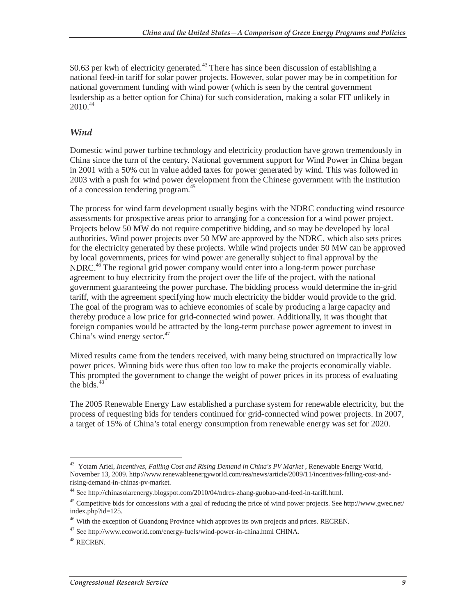\$0.63 per kwh of electricity generated.<sup>43</sup> There has since been discussion of establishing a national feed-in tariff for solar power projects. However, solar power may be in competition for national government funding with wind power (which is seen by the central government leadership as a better option for China) for such consideration, making a solar FIT unlikely in  $2010^{44}$ 

#### *Wind*

Domestic wind power turbine technology and electricity production have grown tremendously in China since the turn of the century. National government support for Wind Power in China began in 2001 with a 50% cut in value added taxes for power generated by wind. This was followed in 2003 with a push for wind power development from the Chinese government with the institution of a concession tendering program.<sup>45</sup>

The process for wind farm development usually begins with the NDRC conducting wind resource assessments for prospective areas prior to arranging for a concession for a wind power project. Projects below 50 MW do not require competitive bidding, and so may be developed by local authorities. Wind power projects over 50 MW are approved by the NDRC, which also sets prices for the electricity generated by these projects. While wind projects under 50 MW can be approved by local governments, prices for wind power are generally subject to final approval by the NDRC.<sup>46</sup> The regional grid power company would enter into a long-term power purchase agreement to buy electricity from the project over the life of the project, with the national government guaranteeing the power purchase. The bidding process would determine the in-grid tariff, with the agreement specifying how much electricity the bidder would provide to the grid. The goal of the program was to achieve economies of scale by producing a large capacity and thereby produce a low price for grid-connected wind power. Additionally, it was thought that foreign companies would be attracted by the long-term purchase power agreement to invest in China's wind energy sector.<sup>47</sup>

Mixed results came from the tenders received, with many being structured on impractically low power prices. Winning bids were thus often too low to make the projects economically viable. This prompted the government to change the weight of power prices in its process of evaluating the bids. $48^\circ$ 

The 2005 Renewable Energy Law established a purchase system for renewable electricity, but the process of requesting bids for tenders continued for grid-connected wind power projects. In 2007, a target of 15% of China's total energy consumption from renewable energy was set for 2020.

<sup>-</sup><sup>43</sup> Yotam Ariel, *Incentives, Falling Cost and Rising Demand in China's PV Market*, Renewable Energy World, November 13, 2009. http://www.renewableenergyworld.com/rea/news/article/2009/11/incentives-falling-cost-andrising-demand-in-chinas-pv-market.

<sup>44</sup> See http://chinasolarenergy.blogspot.com/2010/04/ndrcs-zhang-guobao-and-feed-in-tariff.html.

 $45$  Competitive bids for concessions with a goal of reducing the price of wind power projects. See http://www.gwec.net/ index.php?id=125.

<sup>&</sup>lt;sup>46</sup> With the exception of Guandong Province which approves its own projects and prices. RECREN.

 $47$  See http://www.ecoworld.com/energy-fuels/wind-power-in-china.html CHINA.

<sup>48</sup> RECREN.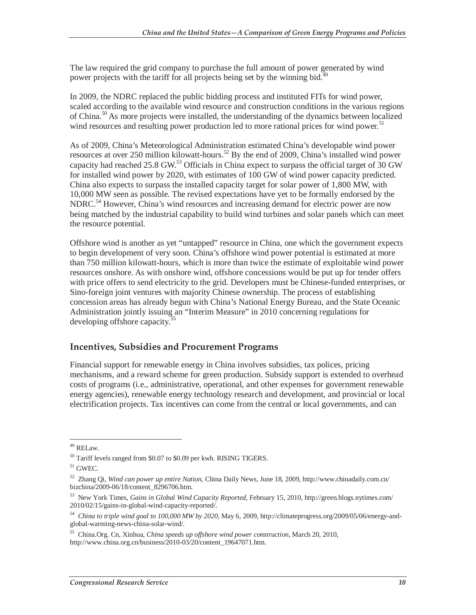The law required the grid company to purchase the full amount of power generated by wind power projects with the tariff for all projects being set by the winning bid.<sup>4</sup>

In 2009, the NDRC replaced the public bidding process and instituted FITs for wind power, scaled according to the available wind resource and construction conditions in the various regions of China.<sup>50</sup> As more projects were installed, the understanding of the dynamics between localized wind resources and resulting power production led to more rational prices for wind power.<sup>51</sup>

As of 2009, China's Meteorological Administration estimated China's developable wind power resources at over 250 million kilowatt-hours.<sup>52</sup> By the end of 2009, China's installed wind power capacity had reached 25.8 GW.<sup>53</sup> Officials in China expect to surpass the official target of 30 GW for installed wind power by 2020, with estimates of 100 GW of wind power capacity predicted. China also expects to surpass the installed capacity target for solar power of 1,800 MW, with 10,000 MW seen as possible. The revised expectations have yet to be formally endorsed by the NDRC.<sup>54</sup> However, China's wind resources and increasing demand for electric power are now being matched by the industrial capability to build wind turbines and solar panels which can meet the resource potential.

Offshore wind is another as yet "untapped" resource in China, one which the government expects to begin development of very soon. China's offshore wind power potential is estimated at more than 750 million kilowatt-hours, which is more than twice the estimate of exploitable wind power resources onshore. As with onshore wind, offshore concessions would be put up for tender offers with price offers to send electricity to the grid. Developers must be Chinese-funded enterprises, or Sino-foreign joint ventures with majority Chinese ownership. The process of establishing concession areas has already begun with China's National Energy Bureau, and the State Oceanic Administration jointly issuing an "Interim Measure" in 2010 concerning regulations for developing offshore capacity.<sup>55</sup>

#### **Incentives, Subsidies and Procurement Programs**

Financial support for renewable energy in China involves subsidies, tax polices, pricing mechanisms, and a reward scheme for green production. Subsidy support is extended to overhead costs of programs (i.e., administrative, operational, and other expenses for government renewable energy agencies), renewable energy technology research and development, and provincial or local electrification projects. Tax incentives can come from the central or local governments, and can

<sup>-</sup>49 RELaw.

<sup>50</sup> Tariff levels ranged from \$0.07 to \$0.09 per kwh. RISING TIGERS.

 $51$  GWEC.

<sup>52</sup> Zhang Qi, *Wind can power up entire Nation*, China Daily News, June 18, 2009, http://www.chinadaily.com.cn/ bizchina/2009-06/18/content\_8296706.htm.

<sup>53</sup> New York Times, *Gains in Global Wind Capacity Reported*, February 15, 2010, http://green.blogs.nytimes.com/ 2010/02/15/gains-in-global-wind-capacity-reported/.

<sup>54</sup> *China to triple wind goal to 100,000 MW by 2020*, May 6, 2009, http://climateprogress.org/2009/05/06/energy-andglobal-warming-news-china-solar-wind/.

<sup>55</sup> China.Org. Cn, Xinhua, *China speeds up offshore wind power construction*, March 20, 2010, http://www.china.org.cn/business/2010-03/20/content\_19647071.htm.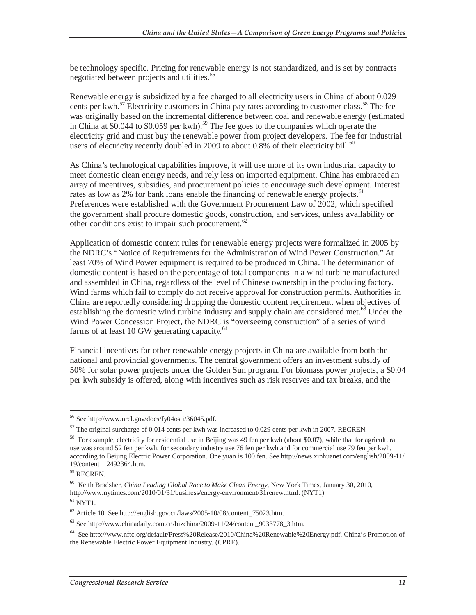be technology specific. Pricing for renewable energy is not standardized, and is set by contracts negotiated between projects and utilities.<sup>56</sup>

Renewable energy is subsidized by a fee charged to all electricity users in China of about 0.029 cents per kwh.<sup>57</sup> Electricity customers in China pay rates according to customer class.<sup>58</sup> The fee was originally based on the incremental difference between coal and renewable energy (estimated in China at \$0.044 to \$0.059 per kwh).<sup>59</sup> The fee goes to the companies which operate the electricity grid and must buy the renewable power from project developers. The fee for industrial users of electricity recently doubled in 2009 to about 0.8% of their electricity bill.<sup>60</sup>

As China's technological capabilities improve, it will use more of its own industrial capacity to meet domestic clean energy needs, and rely less on imported equipment. China has embraced an array of incentives, subsidies, and procurement policies to encourage such development. Interest rates as low as 2% for bank loans enable the financing of renewable energy projects.<sup>61</sup> Preferences were established with the Government Procurement Law of 2002, which specified the government shall procure domestic goods, construction, and services, unless availability or other conditions exist to impair such procurement.<sup>62</sup>

Application of domestic content rules for renewable energy projects were formalized in 2005 by the NDRC's "Notice of Requirements for the Administration of Wind Power Construction." At least 70% of Wind Power equipment is required to be produced in China. The determination of domestic content is based on the percentage of total components in a wind turbine manufactured and assembled in China, regardless of the level of Chinese ownership in the producing factory. Wind farms which fail to comply do not receive approval for construction permits. Authorities in China are reportedly considering dropping the domestic content requirement, when objectives of establishing the domestic wind turbine industry and supply chain are considered met.<sup>63</sup> Under the Wind Power Concession Project, the NDRC is "overseeing construction" of a series of wind farms of at least 10 GW generating capacity. $64$ 

Financial incentives for other renewable energy projects in China are available from both the national and provincial governments. The central government offers an investment subsidy of 50% for solar power projects under the Golden Sun program. For biomass power projects, a \$0.04 per kwh subsidy is offered, along with incentives such as risk reserves and tax breaks, and the

 $\overline{a}$ 56 See http://www.nrel.gov/docs/fy04osti/36045.pdf.

 $57$  The original surcharge of 0.014 cents per kwh was increased to 0.029 cents per kwh in 2007. RECREN.

 $58$  For example, electricity for residential use in Beijing was 49 fen per kwh (about \$0.07), while that for agricultural use was around 52 fen per kwh, for secondary industry use 76 fen per kwh and for commercial use 79 fen per kwh, according to Beijing Electric Power Corporation. One yuan is 100 fen. See http://news.xinhuanet.com/english/2009-11/ 19/content\_12492364.htm.

<sup>59</sup> RECREN.

<sup>60</sup> Keith Bradsher, *China Leading Global Race to Make Clean Energy*, New York Times, January 30, 2010, http://www.nytimes.com/2010/01/31/business/energy-environment/31renew.html. (NYT1)  $61$  NYT1.

 $62$  Article 10. See http://english.gov.cn/laws/2005-10/08/content\_75023.htm.

 $^{63}$  See http://www.chinadaily.com.cn/bizchina/2009-11/24/content\_9033778\_3.htm.

<sup>64</sup> See http://www.nftc.org/default/Press%20Release/2010/China%20Renewable%20Energy.pdf. China's Promotion of the Renewable Electric Power Equipment Industry. (CPRE).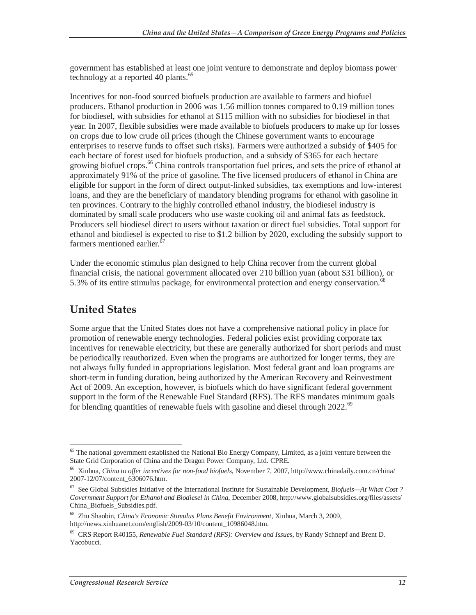government has established at least one joint venture to demonstrate and deploy biomass power technology at a reported 40 plants.<sup>65</sup>

Incentives for non-food sourced biofuels production are available to farmers and biofuel producers. Ethanol production in 2006 was 1.56 million tonnes compared to 0.19 million tones for biodiesel, with subsidies for ethanol at \$115 million with no subsidies for biodiesel in that year. In 2007, flexible subsidies were made available to biofuels producers to make up for losses on crops due to low crude oil prices (though the Chinese government wants to encourage enterprises to reserve funds to offset such risks). Farmers were authorized a subsidy of \$405 for each hectare of forest used for biofuels production, and a subsidy of \$365 for each hectare growing biofuel crops.<sup>66</sup> China controls transportation fuel prices, and sets the price of ethanol at approximately 91% of the price of gasoline. The five licensed producers of ethanol in China are eligible for support in the form of direct output-linked subsidies, tax exemptions and low-interest loans, and they are the beneficiary of mandatory blending programs for ethanol with gasoline in ten provinces. Contrary to the highly controlled ethanol industry, the biodiesel industry is dominated by small scale producers who use waste cooking oil and animal fats as feedstock. Producers sell biodiesel direct to users without taxation or direct fuel subsidies. Total support for ethanol and biodiesel is expected to rise to \$1.2 billion by 2020, excluding the subsidy support to farmers mentioned earlier. $\overline{6}$ 

Under the economic stimulus plan designed to help China recover from the current global financial crisis, the national government allocated over 210 billion yuan (about \$31 billion), or 5.3% of its entire stimulus package, for environmental protection and energy conservation.<sup>6</sup>

### **United States**

Some argue that the United States does not have a comprehensive national policy in place for promotion of renewable energy technologies. Federal policies exist providing corporate tax incentives for renewable electricity, but these are generally authorized for short periods and must be periodically reauthorized. Even when the programs are authorized for longer terms, they are not always fully funded in appropriations legislation. Most federal grant and loan programs are short-term in funding duration, being authorized by the American Recovery and Reinvestment Act of 2009. An exception, however, is biofuels which do have significant federal government support in the form of the Renewable Fuel Standard (RFS). The RFS mandates minimum goals for blending quantities of renewable fuels with gasoline and diesel through 2022.<sup>69</sup>

<sup>-</sup> $65$  The national government established the National Bio Energy Company, Limited, as a joint venture between the State Grid Corporation of China and the Dragon Power Company, Ltd. CPRE.

<sup>66</sup> Xinhua, *China to offer incentives for non-food biofuels*, November 7, 2007, http://www.chinadaily.com.cn/china/ 2007-12/07/content\_6306076.htm.

<sup>67</sup> See Global Subsidies Initiative of the International Institute for Sustainable Development, *Biofuels—At What Cost ? Government Support for Ethanol and Biodiesel in China*, December 2008, http://www.globalsubsidies.org/files/assets/ China\_Biofuels\_Subsidies.pdf.

<sup>68</sup> Zhu Shaobin, *China's Economic Stimulus Plans Benefit Environment*, Xinhua, March 3, 2009, http://news.xinhuanet.com/english/2009-03/10/content\_10986048.htm.

<sup>69</sup> CRS Report R40155, *Renewable Fuel Standard (RFS): Overview and Issues*, by Randy Schnepf and Brent D. Yacobucci.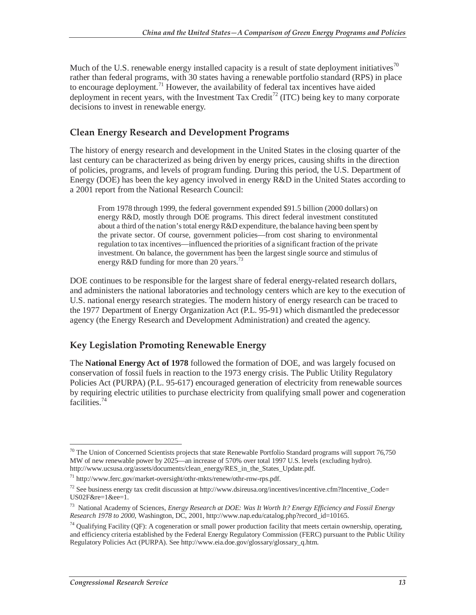Much of the U.S. renewable energy installed capacity is a result of state deployment initiatives<sup>70</sup> rather than federal programs, with 30 states having a renewable portfolio standard (RPS) in place to encourage deployment.<sup>71</sup> However, the availability of federal tax incentives have aided deployment in recent years, with the Investment Tax Credit<sup>72</sup> (ITC) being key to many corporate decisions to invest in renewable energy.

#### **Clean Energy Research and Development Programs**

The history of energy research and development in the United States in the closing quarter of the last century can be characterized as being driven by energy prices, causing shifts in the direction of policies, programs, and levels of program funding. During this period, the U.S. Department of Energy (DOE) has been the key agency involved in energy R&D in the United States according to a 2001 report from the National Research Council:

From 1978 through 1999, the federal government expended \$91.5 billion (2000 dollars) on energy R&D, mostly through DOE programs. This direct federal investment constituted about a third of the nation's total energy R&D expenditure, the balance having been spent by the private sector. Of course, government policies—from cost sharing to environmental regulation to tax incentives—influenced the priorities of a significant fraction of the private investment. On balance, the government has been the largest single source and stimulus of energy R&D funding for more than 20 years.<sup>73</sup>

DOE continues to be responsible for the largest share of federal energy-related research dollars, and administers the national laboratories and technology centers which are key to the execution of U.S. national energy research strategies. The modern history of energy research can be traced to the 1977 Department of Energy Organization Act (P.L. 95-91) which dismantled the predecessor agency (the Energy Research and Development Administration) and created the agency.

#### **Key Legislation Promoting Renewable Energy**

The **National Energy Act of 1978** followed the formation of DOE, and was largely focused on conservation of fossil fuels in reaction to the 1973 energy crisis. The Public Utility Regulatory Policies Act (PURPA) (P.L. 95-617) encouraged generation of electricity from renewable sources by requiring electric utilities to purchase electricity from qualifying small power and cogeneration facilities.<sup>74</sup>

<sup>-</sup> $70$  The Union of Concerned Scientists projects that state Renewable Portfolio Standard programs will support 76,750 MW of new renewable power by 2025—an increase of 570% over total 1997 U.S. levels (excluding hydro). http://www.ucsusa.org/assets/documents/clean\_energy/RES\_in\_the\_States\_Update.pdf.

<sup>71</sup> http://www.ferc.gov/market-oversight/othr-mkts/renew/othr-rnw-rps.pdf.

<sup>&</sup>lt;sup>72</sup> See business energy tax credit discussion at http://www.dsireusa.org/incentives/incentive.cfm?Incentive Code= US02F&re=1&ee=1.

<sup>73</sup> National Academy of Sciences, *Energy Research at DOE: Was It Worth It? Energy Efficiency and Fossil Energy Research 1978 to 2000*, Washington, DC, 2001, http://www.nap.edu/catalog.php?record\_id=10165.

 $74$  Qualifying Facility (QF): A cogeneration or small power production facility that meets certain ownership, operating, and efficiency criteria established by the Federal Energy Regulatory Commission (FERC) pursuant to the Public Utility Regulatory Policies Act (PURPA). See http://www.eia.doe.gov/glossary/glossary\_q.htm.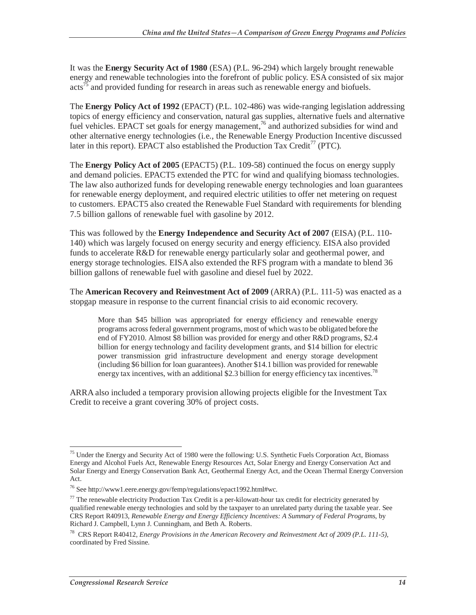It was the **Energy Security Act of 1980** (ESA) (P.L. 96-294) which largely brought renewable energy and renewable technologies into the forefront of public policy. ESA consisted of six major  $\arccos^{75}$  and provided funding for research in areas such as renewable energy and biofuels.

The **Energy Policy Act of 1992** (EPACT) (P.L. 102-486) was wide-ranging legislation addressing topics of energy efficiency and conservation, natural gas supplies, alternative fuels and alternative fuel vehicles. EPACT set goals for energy management,<sup>76</sup> and authorized subsidies for wind and other alternative energy technologies (i.e., the Renewable Energy Production Incentive discussed later in this report). EPACT also established the Production Tax Credit<sup>77</sup> (PTC).

The **Energy Policy Act of 2005** (EPACT5) (P.L. 109-58) continued the focus on energy supply and demand policies. EPACT5 extended the PTC for wind and qualifying biomass technologies. The law also authorized funds for developing renewable energy technologies and loan guarantees for renewable energy deployment, and required electric utilities to offer net metering on request to customers. EPACT5 also created the Renewable Fuel Standard with requirements for blending 7.5 billion gallons of renewable fuel with gasoline by 2012.

This was followed by the **Energy Independence and Security Act of 2007** (EISA) (P.L. 110- 140) which was largely focused on energy security and energy efficiency. EISA also provided funds to accelerate R&D for renewable energy particularly solar and geothermal power, and energy storage technologies. EISA also extended the RFS program with a mandate to blend 36 billion gallons of renewable fuel with gasoline and diesel fuel by 2022.

The **American Recovery and Reinvestment Act of 2009** (ARRA) (P.L. 111-5) was enacted as a stopgap measure in response to the current financial crisis to aid economic recovery.

More than \$45 billion was appropriated for energy efficiency and renewable energy programs across federal government programs, most of which was to be obligated before the end of FY2010. Almost \$8 billion was provided for energy and other R&D programs, \$2.4 billion for energy technology and facility development grants, and \$14 billion for electric power transmission grid infrastructure development and energy storage development (including \$6 billion for loan guarantees). Another \$14.1 billion was provided for renewable energy tax incentives, with an additional \$2.3 billion for energy efficiency tax incentives.<sup>78</sup>

ARRA also included a temporary provision allowing projects eligible for the Investment Tax Credit to receive a grant covering 30% of project costs.

<sup>-</sup><sup>75</sup> Under the Energy and Security Act of 1980 were the following: U.S. Synthetic Fuels Corporation Act, Biomass Energy and Alcohol Fuels Act, Renewable Energy Resources Act, Solar Energy and Energy Conservation Act and Solar Energy and Energy Conservation Bank Act, Geothermal Energy Act, and the Ocean Thermal Energy Conversion Act.

<sup>76</sup> See http://www1.eere.energy.gov/femp/regulations/epact1992.html#wc.

 $^{77}$  The renewable electricity Production Tax Credit is a per-kilowatt-hour tax credit for electricity generated by qualified renewable energy technologies and sold by the taxpayer to an unrelated party during the taxable year. See CRS Report R40913, *Renewable Energy and Energy Efficiency Incentives: A Summary of Federal Programs*, by Richard J. Campbell, Lynn J. Cunningham, and Beth A. Roberts.

<sup>78</sup> CRS Report R40412, *Energy Provisions in the American Recovery and Reinvestment Act of 2009 (P.L. 111-5)*, coordinated by Fred Sissine.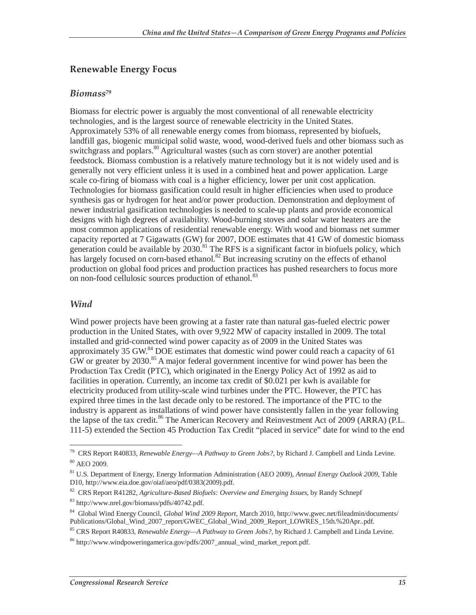#### **Renewable Energy Focus**

#### *Biomass79*

Biomass for electric power is arguably the most conventional of all renewable electricity technologies, and is the largest source of renewable electricity in the United States. Approximately 53% of all renewable energy comes from biomass, represented by biofuels, landfill gas, biogenic municipal solid waste, wood, wood-derived fuels and other biomass such as switchgrass and poplars.<sup>80</sup> Agricultural wastes (such as corn stover) are another potential feedstock. Biomass combustion is a relatively mature technology but it is not widely used and is generally not very efficient unless it is used in a combined heat and power application. Large scale co-firing of biomass with coal is a higher efficiency, lower per unit cost application. Technologies for biomass gasification could result in higher efficiencies when used to produce synthesis gas or hydrogen for heat and/or power production. Demonstration and deployment of newer industrial gasification technologies is needed to scale-up plants and provide economical designs with high degrees of availability. Wood-burning stoves and solar water heaters are the most common applications of residential renewable energy. With wood and biomass net summer capacity reported at 7 Gigawatts (GW) for 2007, DOE estimates that 41 GW of domestic biomass generation could be available by  $2030$ .<sup>81</sup> The RFS is a significant factor in biofuels policy, which has largely focused on corn-based ethanol. $82$  But increasing scrutiny on the effects of ethanol production on global food prices and production practices has pushed researchers to focus more on non-food cellulosic sources production of ethanol.<sup>83</sup>

#### *Wind*

Wind power projects have been growing at a faster rate than natural gas-fueled electric power production in the United States, with over 9,922 MW of capacity installed in 2009. The total installed and grid-connected wind power capacity as of 2009 in the United States was approximately 35 GW.<sup>84</sup> DOE estimates that domestic wind power could reach a capacity of 61  $GW$  or greater by 2030.<sup>85</sup> A major federal government incentive for wind power has been the Production Tax Credit (PTC), which originated in the Energy Policy Act of 1992 as aid to facilities in operation. Currently, an income tax credit of \$0.021 per kwh is available for electricity produced from utility-scale wind turbines under the PTC. However, the PTC has expired three times in the last decade only to be restored. The importance of the PTC to the industry is apparent as installations of wind power have consistently fallen in the year following the lapse of the tax credit.<sup>86</sup> The American Recovery and Reinvestment Act of 2009 (ARRA) (P.L. 111-5) extended the Section 45 Production Tax Credit "placed in service" date for wind to the end

<sup>-</sup>79 CRS Report R40833, *Renewable Energy—A Pathway to Green Jobs?*, by Richard J. Campbell and Linda Levine. 80 AEO 2009.

<sup>&</sup>lt;sup>81</sup> U.S. Department of Energy, Energy Information Administration (AEO 2009), *Annual Energy Outlook 2009*, Table D10, http://www.eia.doe.gov/oiaf/aeo/pdf/0383(2009).pdf.

<sup>&</sup>lt;sup>82</sup> CRS Report R41282, *Agriculture-Based Biofuels: Overview and Emerging Issues*, by Randy Schnepf

<sup>83</sup> http://www.nrel.gov/biomass/pdfs/40742.pdf.

<sup>84</sup> Global Wind Energy Council, *Global Wind 2009 Report*, March 2010, http://www.gwec.net/fileadmin/documents/ Publications/Global\_Wind\_2007\_report/GWEC\_Global\_Wind\_2009\_Report\_LOWRES\_15th.%20Apr..pdf.

<sup>85</sup> CRS Report R40833, *Renewable Energy—A Pathway to Green Jobs?*, by Richard J. Campbell and Linda Levine.

<sup>86</sup> http://www.windpoweringamerica.gov/pdfs/2007\_annual\_wind\_market\_report.pdf.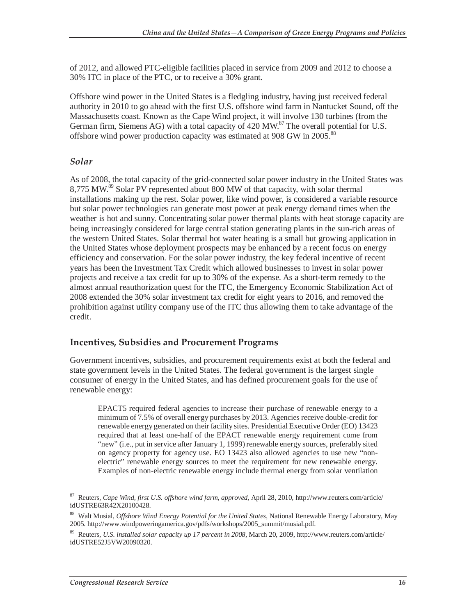of 2012, and allowed PTC-eligible facilities placed in service from 2009 and 2012 to choose a 30% ITC in place of the PTC, or to receive a 30% grant.

Offshore wind power in the United States is a fledgling industry, having just received federal authority in 2010 to go ahead with the first U.S. offshore wind farm in Nantucket Sound, off the Massachusetts coast. Known as the Cape Wind project, it will involve 130 turbines (from the German firm, Siemens AG) with a total capacity of  $420$  MW.<sup>87</sup> The overall potential for U.S. offshore wind power production capacity was estimated at 908 GW in 2005.<sup>88</sup>

#### *Solar*

As of 2008, the total capacity of the grid-connected solar power industry in the United States was 8,775 MW.<sup>89</sup> Solar PV represented about 800 MW of that capacity, with solar thermal installations making up the rest. Solar power, like wind power, is considered a variable resource but solar power technologies can generate most power at peak energy demand times when the weather is hot and sunny. Concentrating solar power thermal plants with heat storage capacity are being increasingly considered for large central station generating plants in the sun-rich areas of the western United States. Solar thermal hot water heating is a small but growing application in the United States whose deployment prospects may be enhanced by a recent focus on energy efficiency and conservation. For the solar power industry, the key federal incentive of recent years has been the Investment Tax Credit which allowed businesses to invest in solar power projects and receive a tax credit for up to 30% of the expense. As a short-term remedy to the almost annual reauthorization quest for the ITC, the Emergency Economic Stabilization Act of 2008 extended the 30% solar investment tax credit for eight years to 2016, and removed the prohibition against utility company use of the ITC thus allowing them to take advantage of the credit.

#### **Incentives, Subsidies and Procurement Programs**

Government incentives, subsidies, and procurement requirements exist at both the federal and state government levels in the United States. The federal government is the largest single consumer of energy in the United States, and has defined procurement goals for the use of renewable energy:

EPACT5 required federal agencies to increase their purchase of renewable energy to a minimum of 7.5% of overall energy purchases by 2013. Agencies receive double-credit for renewable energy generated on their facility sites. Presidential Executive Order (EO) 13423 required that at least one-half of the EPACT renewable energy requirement come from "new" (i.e., put in service after January 1, 1999) renewable energy sources, preferably sited on agency property for agency use. EO 13423 also allowed agencies to use new "nonelectric" renewable energy sources to meet the requirement for new renewable energy. Examples of non-electric renewable energy include thermal energy from solar ventilation

<sup>87</sup> 87 Reuters, *Cape Wind, first U.S. offshore wind farm, approved*, April 28, 2010, http://www.reuters.com/article/ idUSTRE63R42X20100428.

<sup>88</sup> Walt Musial, *Offshore Wind Energy Potential for the United States*, National Renewable Energy Laboratory, May 2005. http://www.windpoweringamerica.gov/pdfs/workshops/2005\_summit/musial.pdf.

<sup>89</sup> Reuters, *U.S. installed solar capacity up 17 percent in 2008*, March 20, 2009, http://www.reuters.com/article/ idUSTRE52J5VW20090320.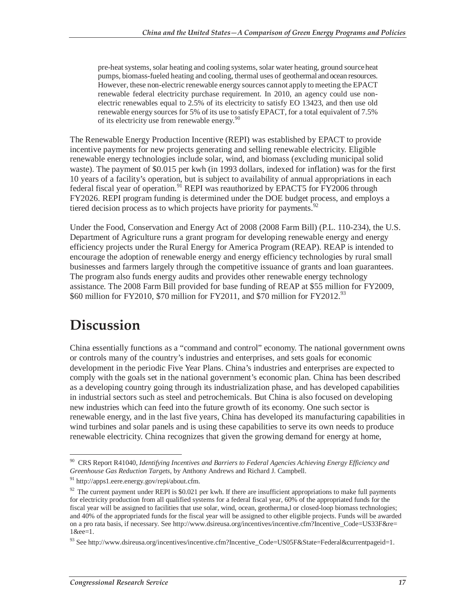pre-heat systems, solar heating and cooling systems, solar water heating, ground source heat pumps, biomass-fueled heating and cooling, thermal uses of geothermal and ocean resources. However, these non-electric renewable energy sources cannot apply to meeting the EPACT renewable federal electricity purchase requirement. In 2010, an agency could use nonelectric renewables equal to 2.5% of its electricity to satisfy EO 13423, and then use old renewable energy sources for 5% of its use to satisfy EPACT, for a total equivalent of 7.5% of its electricity use from renewable energy.<sup>90</sup>

The Renewable Energy Production Incentive (REPI) was established by EPACT to provide incentive payments for new projects generating and selling renewable electricity. Eligible renewable energy technologies include solar, wind, and biomass (excluding municipal solid waste). The payment of \$0.015 per kwh (in 1993 dollars, indexed for inflation) was for the first 10 years of a facility's operation, but is subject to availability of annual appropriations in each federal fiscal year of operation.<sup>91</sup> REPI was reauthorized by EPACT5 for FY2006 through FY2026. REPI program funding is determined under the DOE budget process, and employs a tiered decision process as to which projects have priority for payments.<sup>92</sup>

Under the Food, Conservation and Energy Act of 2008 (2008 Farm Bill) (P.L. 110-234), the U.S. Department of Agriculture runs a grant program for developing renewable energy and energy efficiency projects under the Rural Energy for America Program (REAP). REAP is intended to encourage the adoption of renewable energy and energy efficiency technologies by rural small businesses and farmers largely through the competitive issuance of grants and loan guarantees. The program also funds energy audits and provides other renewable energy technology assistance. The 2008 Farm Bill provided for base funding of REAP at \$55 million for FY2009, \$60 million for FY2010, \$70 million for FY2011, and \$70 million for FY2012.<sup>93</sup>

## **Discussion**

China essentially functions as a "command and control" economy. The national government owns or controls many of the country's industries and enterprises, and sets goals for economic development in the periodic Five Year Plans. China's industries and enterprises are expected to comply with the goals set in the national government's economic plan. China has been described as a developing country going through its industrialization phase, and has developed capabilities in industrial sectors such as steel and petrochemicals. But China is also focused on developing new industries which can feed into the future growth of its economy. One such sector is renewable energy, and in the last five years, China has developed its manufacturing capabilities in wind turbines and solar panels and is using these capabilities to serve its own needs to produce renewable electricity. China recognizes that given the growing demand for energy at home,

<sup>-</sup>90 CRS Report R41040, *Identifying Incentives and Barriers to Federal Agencies Achieving Energy Efficiency and Greenhouse Gas Reduction Targets*, by Anthony Andrews and Richard J. Campbell.

<sup>91</sup> http://apps1.eere.energy.gov/repi/about.cfm.

 $92$  The current payment under REPI is \$0.021 per kwh. If there are insufficient appropriations to make full payments for electricity production from all qualified systems for a federal fiscal year, 60% of the appropriated funds for the fiscal year will be assigned to facilities that use solar, wind, ocean, geotherma,l or closed-loop biomass technologies; and 40% of the appropriated funds for the fiscal year will be assigned to other eligible projects. Funds will be awarded on a pro rata basis, if necessary. See http://www.dsireusa.org/incentives/incentive.cfm?Incentive\_Code=US33F&re= 1&ee=1.

<sup>93</sup> See http://www.dsireusa.org/incentives/incentive.cfm?Incentive\_Code=US05F&State=Federal&currentpageid=1.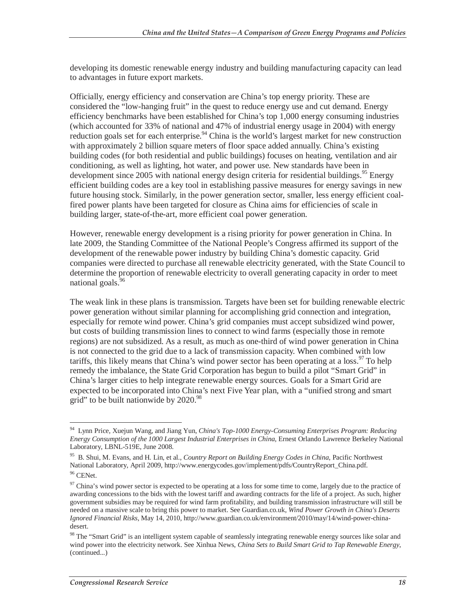developing its domestic renewable energy industry and building manufacturing capacity can lead to advantages in future export markets.

Officially, energy efficiency and conservation are China's top energy priority. These are considered the "low-hanging fruit" in the quest to reduce energy use and cut demand. Energy efficiency benchmarks have been established for China's top 1,000 energy consuming industries (which accounted for 33% of national and 47% of industrial energy usage in 2004) with energy reduction goals set for each enterprise.<sup>94</sup> China is the world's largest market for new construction with approximately 2 billion square meters of floor space added annually. China's existing building codes (for both residential and public buildings) focuses on heating, ventilation and air conditioning, as well as lighting, hot water, and power use. New standards have been in development since 2005 with national energy design criteria for residential buildings.<sup>95</sup> Energy efficient building codes are a key tool in establishing passive measures for energy savings in new future housing stock. Similarly, in the power generation sector, smaller, less energy efficient coalfired power plants have been targeted for closure as China aims for efficiencies of scale in building larger, state-of-the-art, more efficient coal power generation.

However, renewable energy development is a rising priority for power generation in China. In late 2009, the Standing Committee of the National People's Congress affirmed its support of the development of the renewable power industry by building China's domestic capacity. Grid companies were directed to purchase all renewable electricity generated, with the State Council to determine the proportion of renewable electricity to overall generating capacity in order to meet national goals.<sup>96</sup>

The weak link in these plans is transmission. Targets have been set for building renewable electric power generation without similar planning for accomplishing grid connection and integration, especially for remote wind power. China's grid companies must accept subsidized wind power, but costs of building transmission lines to connect to wind farms (especially those in remote regions) are not subsidized. As a result, as much as one-third of wind power generation in China is not connected to the grid due to a lack of transmission capacity. When combined with low tariffs, this likely means that China's wind power sector has been operating at a  $\cos^{97}$  To help remedy the imbalance, the State Grid Corporation has begun to build a pilot "Smart Grid" in China's larger cities to help integrate renewable energy sources. Goals for a Smart Grid are expected to be incorporated into China's next Five Year plan, with a "unified strong and smart grid" to be built nationwide by  $2020.^{98}$ 

<sup>-</sup>94 Lynn Price, Xuejun Wang, and Jiang Yun, *China's Top-1000 Energy-Consuming Enterprises Program: Reducing Energy Consumption of the 1000 Largest Industrial Enterprises in China*, Ernest Orlando Lawrence Berkeley National Laboratory, LBNL-519E, June 2008.

<sup>95</sup> B. Shui, M. Evans, and H. Lin, et al., *Country Report on Building Energy Codes in China*, Pacific Northwest National Laboratory, April 2009, http://www.energycodes.gov/implement/pdfs/CountryReport\_China.pdf. 96 CENet.

 $97$  China's wind power sector is expected to be operating at a loss for some time to come, largely due to the practice of awarding concessions to the bids with the lowest tariff and awarding contracts for the life of a project. As such, higher government subsidies may be required for wind farm profitability, and building transmission infrastructure will still be needed on a massive scale to bring this power to market. See Guardian.co.uk, *Wind Power Growth in China's Deserts Ignored Financial Risks*, May 14, 2010, http://www.guardian.co.uk/environment/2010/may/14/wind-power-chinadesert.

<sup>&</sup>lt;sup>98</sup> The "Smart Grid" is an intelligent system capable of seamlessly integrating renewable energy sources like solar and wind power into the electricity network. See Xinhua News, *China Sets to Build Smart Grid to Tap Renewable Energy*, (continued...)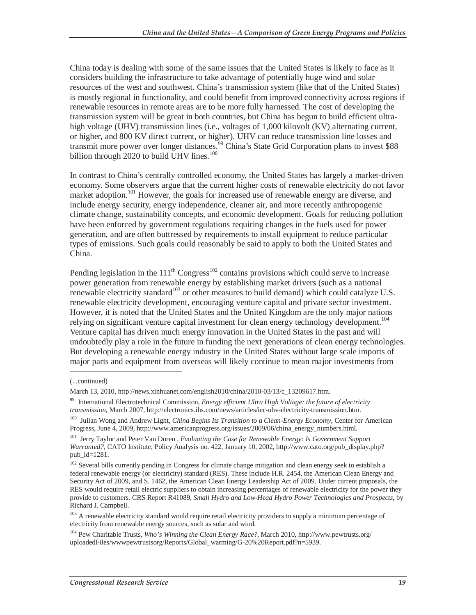China today is dealing with some of the same issues that the United States is likely to face as it considers building the infrastructure to take advantage of potentially huge wind and solar resources of the west and southwest. China's transmission system (like that of the United States) is mostly regional in functionality, and could benefit from improved connectivity across regions if renewable resources in remote areas are to be more fully harnessed. The cost of developing the transmission system will be great in both countries, but China has begun to build efficient ultrahigh voltage (UHV) transmission lines (i.e., voltages of 1,000 kilovolt (KV) alternating current, or higher, and 800 KV direct current, or higher). UHV can reduce transmission line losses and transmit more power over longer distances.<sup>99</sup> China's State Grid Corporation plans to invest \$88 billion through 2020 to build UHV lines. $100$ 

In contrast to China's centrally controlled economy, the United States has largely a market-driven economy. Some observers argue that the current higher costs of renewable electricity do not favor market adoption.<sup>101</sup> However, the goals for increased use of renewable energy are diverse, and include energy security, energy independence, cleaner air, and more recently anthropogenic climate change, sustainability concepts, and economic development. Goals for reducing pollution have been enforced by government regulations requiring changes in the fuels used for power generation, and are often buttressed by requirements to install equipment to reduce particular types of emissions. Such goals could reasonably be said to apply to both the United States and China.

Pending legislation in the  $111<sup>th</sup> Congress<sup>102</sup> contains provisions which could serve to increase$ power generation from renewable energy by establishing market drivers (such as a national renewable electricity standard<sup>103</sup> or other measures to build demand) which could catalyze U.S. renewable electricity development, encouraging venture capital and private sector investment. However, it is noted that the United States and the United Kingdom are the only major nations relying on significant venture capital investment for clean energy technology development.<sup>104</sup> Venture capital has driven much energy innovation in the United States in the past and will undoubtedly play a role in the future in funding the next generations of clean energy technologies. But developing a renewable energy industry in the United States without large scale imports of major parts and equipment from overseas will likely continue to mean major investments from

<u>.</u>

<sup>(...</sup>continued)

March 13, 2010, http://news.xinhuanet.com/english2010/china/2010-03/13/c\_13209617.htm.

<sup>99</sup> International Electrotechnical Commission, *Energy efficient Ultra High Voltage: the future of electricity transmission*, March 2007, http://electronics.ihs.com/news/articles/iec-uhv-electricity-transmission.htm.

<sup>100</sup> Julian Wong and Andrew Light, *China Begins Its Transition to a Clean-Energy Economy*, Center for American Progress, June 4, 2009, http://www.americanprogress.org/issues/2009/06/china\_energy\_numbers.html.

<sup>101</sup> Jerry Taylor and Peter Van Doren , *Evaluating the Case for Renewable Energy: Is Government Support Warranted?*, CATO Institute, Policy Analysis no. 422, January 10, 2002, http://www.cato.org/pub\_display.php? pub\_id=1281.

<sup>&</sup>lt;sup>102</sup> Several bills currently pending in Congress for climate change mitigation and clean energy seek to establish a federal renewable energy (or electricity) standard (RES). These include H.R. 2454, the American Clean Energy and Security Act of 2009, and S. 1462, the American Clean Energy Leadership Act of 2009. Under current proposals, the RES would require retail electric suppliers to obtain increasing percentages of renewable electricity for the power they provide to customers. CRS Report R41089, *Small Hydro and Low-Head Hydro Power Technologies and Prospects*, by Richard J. Campbell.

<sup>&</sup>lt;sup>103</sup> A renewable electricity standard would require retail electricity providers to supply a minimum percentage of electricity from renewable energy sources, such as solar and wind.

<sup>104</sup> Pew Charitable Trusts, *Who's Winning the Clean Energy Race?*, March 2010, http://www.pewtrusts.org/ uploadedFiles/wwwpewtrustsorg/Reports/Global\_warming/G-20%20Report.pdf?n=5939.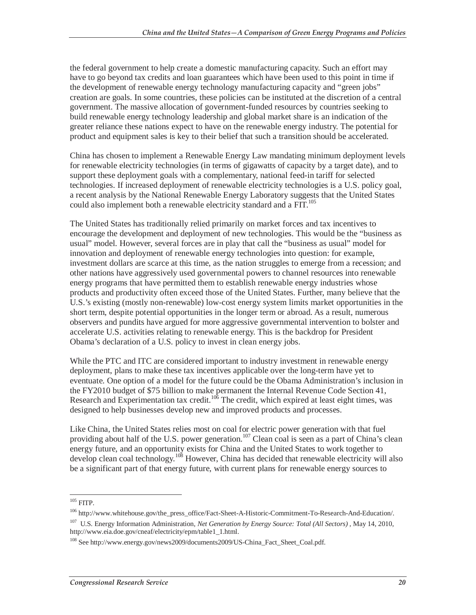the federal government to help create a domestic manufacturing capacity. Such an effort may have to go beyond tax credits and loan guarantees which have been used to this point in time if the development of renewable energy technology manufacturing capacity and "green jobs" creation are goals. In some countries, these policies can be instituted at the discretion of a central government. The massive allocation of government-funded resources by countries seeking to build renewable energy technology leadership and global market share is an indication of the greater reliance these nations expect to have on the renewable energy industry. The potential for product and equipment sales is key to their belief that such a transition should be accelerated.

China has chosen to implement a Renewable Energy Law mandating minimum deployment levels for renewable electricity technologies (in terms of gigawatts of capacity by a target date), and to support these deployment goals with a complementary, national feed-in tariff for selected technologies. If increased deployment of renewable electricity technologies is a U.S. policy goal, a recent analysis by the National Renewable Energy Laboratory suggests that the United States could also implement both a renewable electricity standard and a FIT.<sup>105</sup>

The United States has traditionally relied primarily on market forces and tax incentives to encourage the development and deployment of new technologies. This would be the "business as usual" model. However, several forces are in play that call the "business as usual" model for innovation and deployment of renewable energy technologies into question: for example, investment dollars are scarce at this time, as the nation struggles to emerge from a recession; and other nations have aggressively used governmental powers to channel resources into renewable energy programs that have permitted them to establish renewable energy industries whose products and productivity often exceed those of the United States. Further, many believe that the U.S.'s existing (mostly non-renewable) low-cost energy system limits market opportunities in the short term, despite potential opportunities in the longer term or abroad. As a result, numerous observers and pundits have argued for more aggressive governmental intervention to bolster and accelerate U.S. activities relating to renewable energy. This is the backdrop for President Obama's declaration of a U.S. policy to invest in clean energy jobs.

While the PTC and ITC are considered important to industry investment in renewable energy deployment, plans to make these tax incentives applicable over the long-term have yet to eventuate. One option of a model for the future could be the Obama Administration's inclusion in the FY2010 budget of \$75 billion to make permanent the Internal Revenue Code Section 41, Research and Experimentation tax credit.<sup>106</sup> The credit, which expired at least eight times, was designed to help businesses develop new and improved products and processes.

Like China, the United States relies most on coal for electric power generation with that fuel providing about half of the U.S. power generation.<sup>107</sup> Clean coal is seen as a part of China's clean energy future, and an opportunity exists for China and the United States to work together to develop clean coal technology.<sup>108</sup> However, China has decided that renewable electricity will also be a significant part of that energy future, with current plans for renewable energy sources to

 $\overline{a}$  $105$  FITP.

<sup>106</sup> http://www.whitehouse.gov/the\_press\_office/Fact-Sheet-A-Historic-Commitment-To-Research-And-Education/.

<sup>&</sup>lt;sup>107</sup> U.S. Energy Information Administration, *Net Generation by Energy Source: Total (All Sectors)* , May 14, 2010, http://www.eia.doe.gov/cneaf/electricity/epm/table1\_1.html.

<sup>108</sup> See http://www.energy.gov/news2009/documents2009/US-China\_Fact\_Sheet\_Coal.pdf.